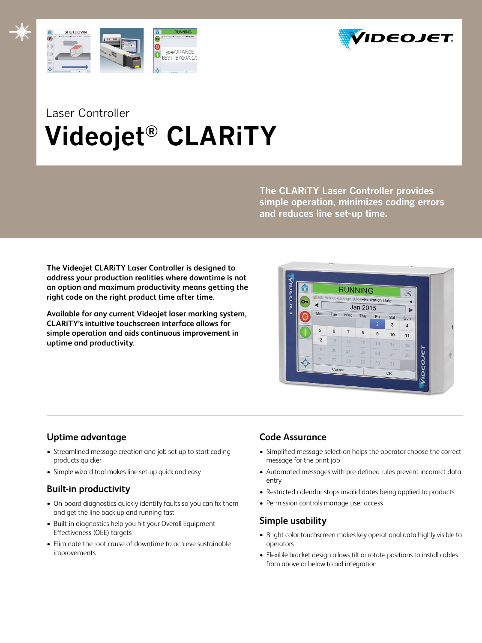



# Laser Controller  **Videojet® CLARiTY**

**The CLARiTY Laser Controller provides simple operation, minimizes coding errors and reduces line set-up time.**

**The Videojet CLARiTY Laser Controller is designed to address your production realities where downtime is not an option and maximum productivity means getting the right code on the right product time after time.**

**Available for any current Videojet laser marking system, CLARiTY's intuitive touchscreen interface allows for simple operation and aids continuous improvement in uptime and productivity.**

| т |     |        | <b>RUNNING</b><br>d'Job Select+Orange Juice+Expiration Date<br>Jan 2015<br>Wed<br>Thu<br>Fri<br>Sat<br>1<br>$\overline{2}$<br>3<br>6<br>$\overline{7}$<br>8<br>$\mathsf g$<br>10<br>14<br>15 |    |    |    |                |
|---|-----|--------|----------------------------------------------------------------------------------------------------------------------------------------------------------------------------------------------|----|----|----|----------------|
|   | ◀   |        |                                                                                                                                                                                              |    |    |    | ь              |
|   | Mon | Tue    |                                                                                                                                                                                              |    |    |    | Sun            |
|   |     |        |                                                                                                                                                                                              |    |    |    | $\overline{4}$ |
|   | 5   |        |                                                                                                                                                                                              |    |    |    | 11             |
|   | 12  | 13     |                                                                                                                                                                                              |    | 16 | 17 | 18             |
|   | 19  | 20     | 21                                                                                                                                                                                           | 22 | 23 | 24 | 25             |
|   | 26  | 27     | 28                                                                                                                                                                                           | 29 | 30 | 31 |                |
|   |     | Cancel |                                                                                                                                                                                              |    | OK |    |                |

# **Uptime advantage**

- Streamlined message creation and job set up to start coding products quicker
- Simple wizard tool makes line set-up quick and easy

# **Built-in productivity**

- On-board diagnostics quickly identify faults so you can fix them and get the line back up and running fast
- Built-in diagnostics help you hit your Overall Equipment Effectiveness (OEE) targets
- Eliminate the root cause of downtime to achieve sustainable improvements

# **Code Assurance**

- Simplified message selection helps the operator choose the correct message for the print job
- Automated messages with pre-defined rules prevent incorrect data entry
- Restricted calendar stops invalid dates being applied to products
- Permission controls manage user access

# **Simple usability**

- Bright color touchscreen makes key operational data highly visible to operators
- Flexible bracket design allows tilt or rotate positions to install cables from above or below to aid integration